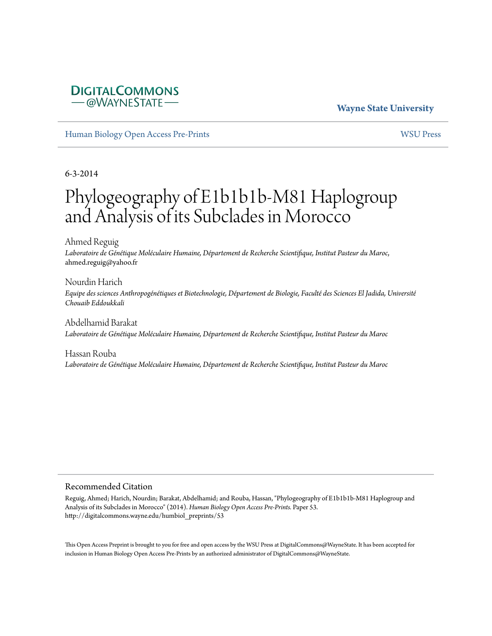### **DIGITALCOMMONS** -@WAYNESTATE-

#### **Wayne State University**

[Human Biology Open Access Pre-Prints](http://digitalcommons.wayne.edu/humbiol_preprints) [WSU Press](http://digitalcommons.wayne.edu/wsupress)

6-3-2014

# Phylogeography of E1b1b1b-M81 Haplogroup and Analysis of its Subclades in Morocco

Ahmed Reguig *Laboratoire de Génétique Moléculaire Humaine, Département de Recherche Scientifique, Institut Pasteur du Maroc*, ahmed.reguig@yahoo.fr

Nourdin Harich *Equipe des sciences Anthropogénétiques et Biotechnologie, Département de Biologie, Faculté des Sciences El Jadida, Université Chouaib Eddoukkali*

Abdelhamid Barakat *Laboratoire de Génétique Moléculaire Humaine, Département de Recherche Scientifique, Institut Pasteur du Maroc*

Hassan Rouba *Laboratoire de Génétique Moléculaire Humaine, Département de Recherche Scientifique, Institut Pasteur du Maroc*

#### Recommended Citation

Reguig, Ahmed; Harich, Nourdin; Barakat, Abdelhamid; and Rouba, Hassan, "Phylogeography of E1b1b1b-M81 Haplogroup and Analysis of its Subclades in Morocco" (2014). *Human Biology Open Access Pre-Prints.* Paper 53. http://digitalcommons.wayne.edu/humbiol\_preprints/53

This Open Access Preprint is brought to you for free and open access by the WSU Press at DigitalCommons@WayneState. It has been accepted for inclusion in Human Biology Open Access Pre-Prints by an authorized administrator of DigitalCommons@WayneState.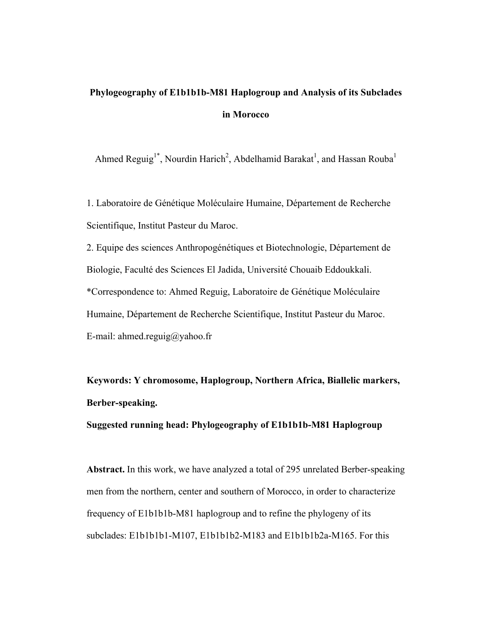## **Phylogeography of E1b1b1b-M81 Haplogroup and Analysis of its Subclades in Morocco**

Ahmed Reguig<sup>1\*</sup>, Nourdin Harich<sup>2</sup>, Abdelhamid Barakat<sup>1</sup>, and Hassan Rouba<sup>1</sup>

1. Laboratoire de Génétique Moléculaire Humaine, Département de Recherche Scientifique, Institut Pasteur du Maroc.

2. Equipe des sciences Anthropogénétiques et Biotechnologie, Département de Biologie, Faculté des Sciences El Jadida, Université Chouaib Eddoukkali. \*Correspondence to: Ahmed Reguig, Laboratoire de Génétique Moléculaire Humaine, Département de Recherche Scientifique, Institut Pasteur du Maroc. E-mail: ahmed.reguig@yahoo.fr

**Keywords: Y chromosome, Haplogroup, Northern Africa, Biallelic markers, Berber-speaking.**

**Suggested running head: Phylogeography of E1b1b1b-M81 Haplogroup**

**Abstract.** In this work, we have analyzed a total of 295 unrelated Berber-speaking men from the northern, center and southern of Morocco, in order to characterize frequency of E1b1b1b-M81 haplogroup and to refine the phylogeny of its subclades: E1b1b1b1-M107, E1b1b1b2-M183 and E1b1b1b2a-M165. For this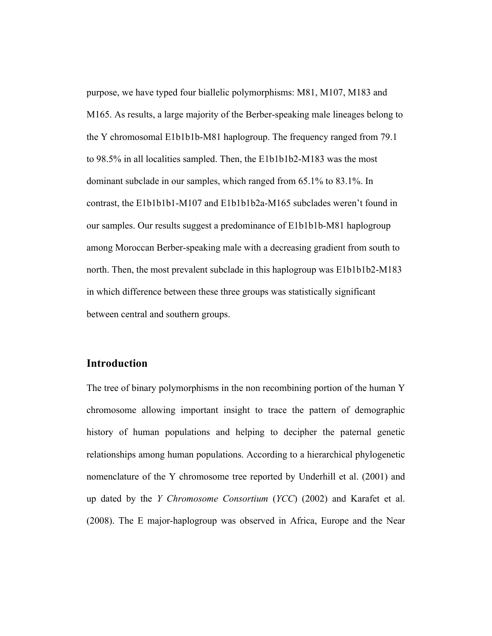purpose, we have typed four biallelic polymorphisms: M81, M107, M183 and M165. As results, a large majority of the Berber-speaking male lineages belong to the Y chromosomal E1b1b1b-M81 haplogroup. The frequency ranged from 79.1 to 98.5% in all localities sampled. Then, the E1b1b1b2-M183 was the most dominant subclade in our samples, which ranged from 65.1% to 83.1%. In contrast, the E1b1b1b1-M107 and E1b1b1b2a-M165 subclades weren't found in our samples. Our results suggest a predominance of E1b1b1b-M81 haplogroup among Moroccan Berber-speaking male with a decreasing gradient from south to north. Then, the most prevalent subclade in this haplogroup was E1b1b1b2-M183 in which difference between these three groups was statistically significant between central and southern groups.

#### **Introduction**

The tree of binary polymorphisms in the non recombining portion of the human Y chromosome allowing important insight to trace the pattern of demographic history of human populations and helping to decipher the paternal genetic relationships among human populations. According to a hierarchical phylogenetic nomenclature of the Y chromosome tree reported by Underhill et al. (2001) and up dated by the *Y Chromosome Consortium* (*YCC*) (2002) and Karafet et al. (2008). The E major-haplogroup was observed in Africa, Europe and the Near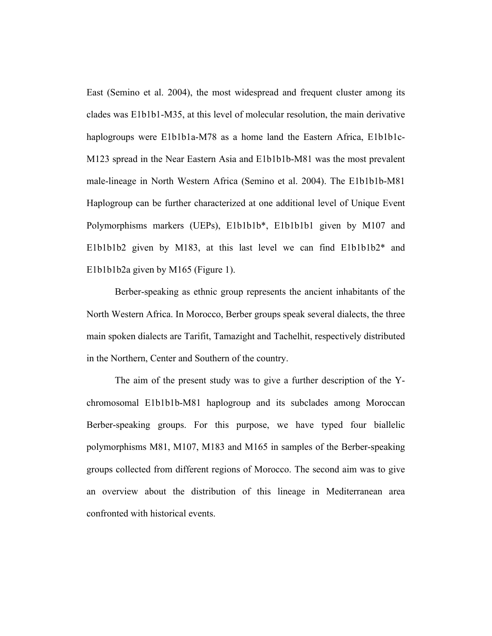East (Semino et al. 2004), the most widespread and frequent cluster among its clades was E1b1b1-M35, at this level of molecular resolution, the main derivative haplogroups were E1b1b1a-M78 as a home land the Eastern Africa, E1b1b1c-M123 spread in the Near Eastern Asia and E1b1b1b-M81 was the most prevalent male-lineage in North Western Africa (Semino et al. 2004). The E1b1b1b-M81 Haplogroup can be further characterized at one additional level of Unique Event Polymorphisms markers (UEPs), E1b1b1b\*, E1b1b1b1 given by M107 and E1b1b1b2 given by M183, at this last level we can find E1b1b1b2\* and E1b1b1b2a given by M165 (Figure 1).

Berber-speaking as ethnic group represents the ancient inhabitants of the North Western Africa. In Morocco, Berber groups speak several dialects, the three main spoken dialects are Tarifit, Tamazight and Tachelhit, respectively distributed in the Northern, Center and Southern of the country.

The aim of the present study was to give a further description of the Ychromosomal E1b1b1b-M81 haplogroup and its subclades among Moroccan Berber-speaking groups. For this purpose, we have typed four biallelic polymorphisms M81, M107, M183 and M165 in samples of the Berber-speaking groups collected from different regions of Morocco. The second aim was to give an overview about the distribution of this lineage in Mediterranean area confronted with historical events.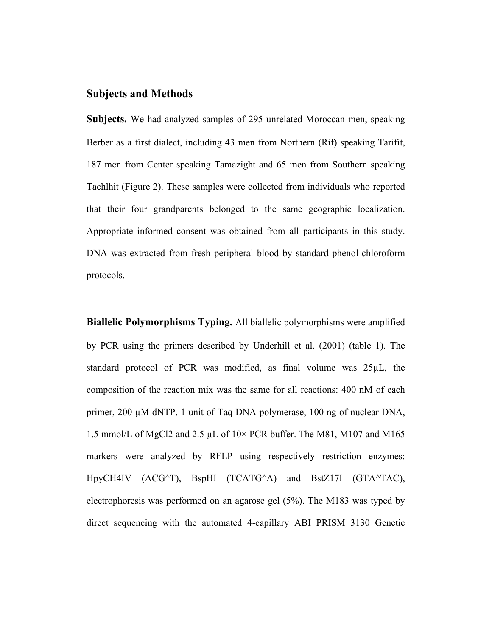### **Subjects and Methods**

**Subjects.** We had analyzed samples of 295 unrelated Moroccan men, speaking Berber as a first dialect, including 43 men from Northern (Rif) speaking Tarifit, 187 men from Center speaking Tamazight and 65 men from Southern speaking Tachlhit (Figure 2). These samples were collected from individuals who reported that their four grandparents belonged to the same geographic localization. Appropriate informed consent was obtained from all participants in this study. DNA was extracted from fresh peripheral blood by standard phenol-chloroform protocols.

**Biallelic Polymorphisms Typing.** All biallelic polymorphisms were amplified by PCR using the primers described by Underhill et al. (2001) (table 1). The standard protocol of PCR was modified, as final volume was 25µL, the composition of the reaction mix was the same for all reactions: 400 nM of each primer, 200 µM dNTP, 1 unit of Taq DNA polymerase, 100 ng of nuclear DNA, 1.5 mmol/L of MgCl2 and 2.5 µL of 10× PCR buffer. The M81, M107 and M165 markers were analyzed by RFLP using respectively restriction enzymes: HpyCH4IV (ACG^T), BspHI (TCATG^A) and BstZ17I (GTA^TAC), electrophoresis was performed on an agarose gel (5%). The M183 was typed by direct sequencing with the automated 4-capillary ABI PRISM 3130 Genetic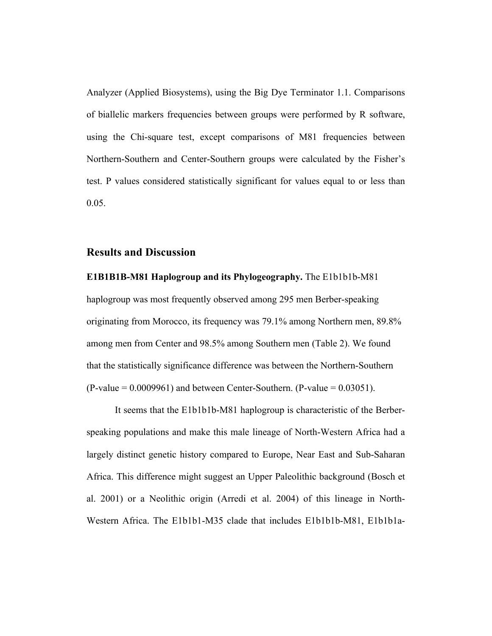Analyzer (Applied Biosystems), using the Big Dye Terminator 1.1. Comparisons of biallelic markers frequencies between groups were performed by R software, using the Chi-square test, except comparisons of M81 frequencies between Northern-Southern and Center-Southern groups were calculated by the Fisher's test. P values considered statistically significant for values equal to or less than 0.05.

#### **Results and Discussion**

**E1B1B1B-M81 Haplogroup and its Phylogeography.** The E1b1b1b-M81 haplogroup was most frequently observed among 295 men Berber-speaking originating from Morocco, its frequency was 79.1% among Northern men, 89.8% among men from Center and 98.5% among Southern men (Table 2). We found that the statistically significance difference was between the Northern-Southern  $(P-value = 0.0009961)$  and between Center-Southern.  $(P-value = 0.03051)$ .

It seems that the E1b1b1b-M81 haplogroup is characteristic of the Berberspeaking populations and make this male lineage of North-Western Africa had a largely distinct genetic history compared to Europe, Near East and Sub-Saharan Africa. This difference might suggest an Upper Paleolithic background (Bosch et al. 2001) or a Neolithic origin (Arredi et al. 2004) of this lineage in North-Western Africa. The E1b1b1-M35 clade that includes E1b1b1b-M81, E1b1b1a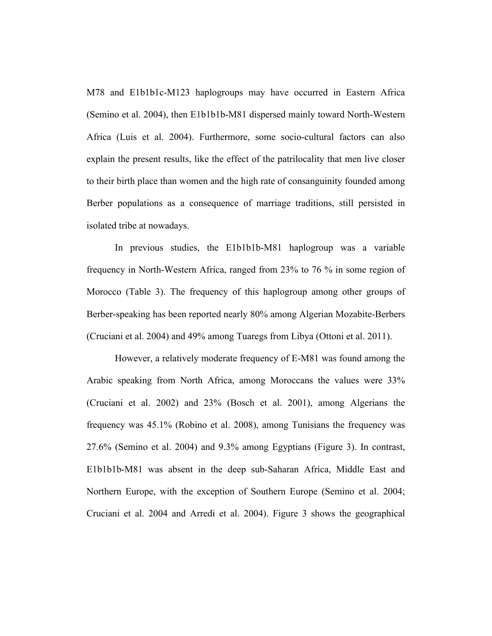M78 and E1b1b1c-M123 haplogroups may have occurred in Eastern Africa (Semino et al. 2004), then E1b1b1b-M81 dispersed mainly toward North-Western Africa (Luis et al. 2004). Furthermore, some socio-cultural factors can also explain the present results, like the effect of the patrilocality that men live closer to their birth place than women and the high rate of consanguinity founded among Berber populations as a consequence of marriage traditions, still persisted in isolated tribe at nowadays.

In previous studies, the E1b1b1b-M81 haplogroup was a variable frequency in North-Western Africa, ranged from 23% to 76 % in some region of Morocco (Table 3). The frequency of this haplogroup among other groups of Berber-speaking has been reported nearly 80% among Algerian Mozabite-Berbers (Cruciani et al. 2004) and 49% among Tuaregs from Libya (Ottoni et al. 2011).

However, a relatively moderate frequency of E-M81 was found among the Arabic speaking from North Africa, among Moroccans the values were 33% (Cruciani et al. 2002) and 23% (Bosch et al. 2001), among Algerians the frequency was 45.1% (Robino et al. 2008), among Tunisians the frequency was 27.6% (Semino et al. 2004) and 9.3% among Egyptians (Figure 3). In contrast, E1b1b1b-M81 was absent in the deep sub-Saharan Africa, Middle East and Northern Europe, with the exception of Southern Europe (Semino et al. 2004; Cruciani et al. 2004 and Arredi et al. 2004). Figure 3 shows the geographical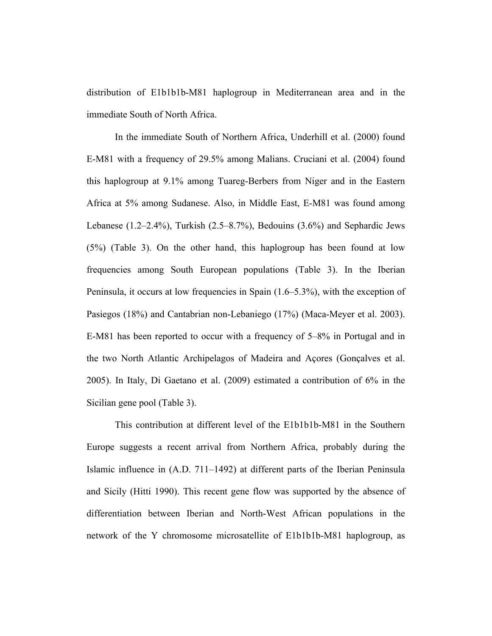distribution of E1b1b1b-M81 haplogroup in Mediterranean area and in the immediate South of North Africa.

In the immediate South of Northern Africa, Underhill et al. (2000) found E-M81 with a frequency of 29.5% among Malians. Cruciani et al. (2004) found this haplogroup at 9.1% among Tuareg-Berbers from Niger and in the Eastern Africa at 5% among Sudanese. Also, in Middle East, E-M81 was found among Lebanese (1.2–2.4%), Turkish (2.5–8.7%), Bedouins (3.6%) and Sephardic Jews (5%) (Table 3). On the other hand, this haplogroup has been found at low frequencies among South European populations (Table 3). In the Iberian Peninsula, it occurs at low frequencies in Spain (1.6–5.3%), with the exception of Pasiegos (18%) and Cantabrian non-Lebaniego (17%) (Maca-Meyer et al. 2003). E-M81 has been reported to occur with a frequency of 5–8% in Portugal and in the two North Atlantic Archipelagos of Madeira and Açores (Gonçalves et al. 2005). In Italy, Di Gaetano et al. (2009) estimated a contribution of 6% in the Sicilian gene pool (Table 3).

This contribution at different level of the E1b1b1b-M81 in the Southern Europe suggests a recent arrival from Northern Africa, probably during the Islamic influence in (A.D. 711–1492) at different parts of the Iberian Peninsula and Sicily (Hitti 1990). This recent gene flow was supported by the absence of differentiation between Iberian and North-West African populations in the network of the Y chromosome microsatellite of E1b1b1b-M81 haplogroup, as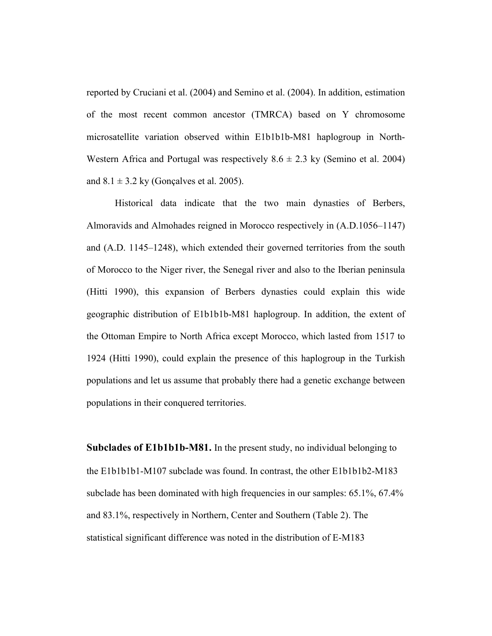reported by Cruciani et al. (2004) and Semino et al. (2004). In addition, estimation of the most recent common ancestor (TMRCA) based on Y chromosome microsatellite variation observed within E1b1b1b-M81 haplogroup in North-Western Africa and Portugal was respectively  $8.6 \pm 2.3$  ky (Semino et al. 2004) and  $8.1 \pm 3.2$  ky (Gonçalves et al. 2005).

Historical data indicate that the two main dynasties of Berbers, Almoravids and Almohades reigned in Morocco respectively in (A.D.1056–1147) and (A.D. 1145–1248), which extended their governed territories from the south of Morocco to the Niger river, the Senegal river and also to the Iberian peninsula (Hitti 1990), this expansion of Berbers dynasties could explain this wide geographic distribution of E1b1b1b-M81 haplogroup. In addition, the extent of the Ottoman Empire to North Africa except Morocco, which lasted from 1517 to 1924 (Hitti 1990), could explain the presence of this haplogroup in the Turkish populations and let us assume that probably there had a genetic exchange between populations in their conquered territories.

**Subclades of E1b1b1b-M81.** In the present study, no individual belonging to the E1b1b1b1-M107 subclade was found. In contrast, the other E1b1b1b2-M183 subclade has been dominated with high frequencies in our samples: 65.1%, 67.4% and 83.1%, respectively in Northern, Center and Southern (Table 2). The statistical significant difference was noted in the distribution of E-M183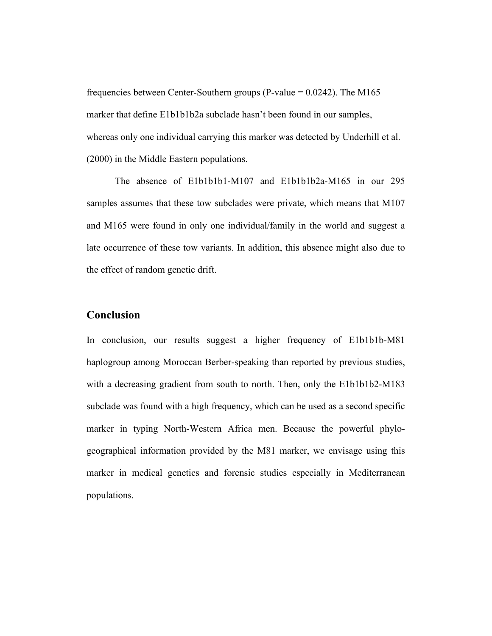frequencies between Center-Southern groups (P-value  $= 0.0242$ ). The M165 marker that define E1b1b1b2a subclade hasn't been found in our samples, whereas only one individual carrying this marker was detected by Underhill et al. (2000) in the Middle Eastern populations.

The absence of E1b1b1b1-M107 and E1b1b1b2a-M165 in our 295 samples assumes that these tow subclades were private, which means that M107 and M165 were found in only one individual/family in the world and suggest a late occurrence of these tow variants. In addition, this absence might also due to the effect of random genetic drift.

#### **Conclusion**

In conclusion, our results suggest a higher frequency of E1b1b1b-M81 haplogroup among Moroccan Berber-speaking than reported by previous studies, with a decreasing gradient from south to north. Then, only the E1b1b1b2-M183 subclade was found with a high frequency, which can be used as a second specific marker in typing North-Western Africa men. Because the powerful phylogeographical information provided by the M81 marker, we envisage using this marker in medical genetics and forensic studies especially in Mediterranean populations.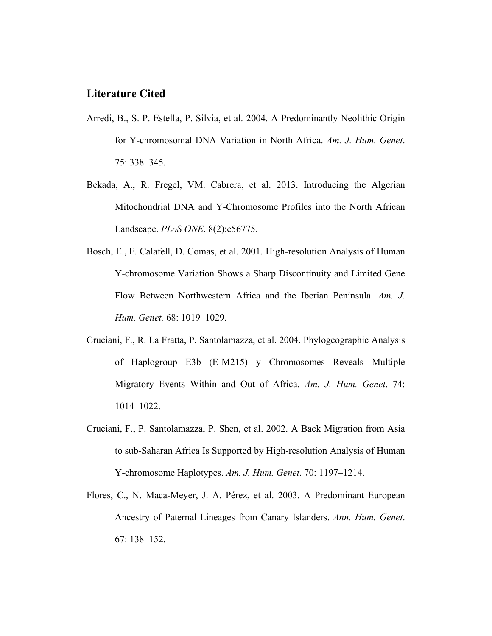#### **Literature Cited**

- Arredi, B., S. P. Estella, P. Silvia, et al. 2004. A Predominantly Neolithic Origin for Y-chromosomal DNA Variation in North Africa. *Am. J. Hum. Genet*. 75: 338–345.
- Bekada, A., R. Fregel, VM. Cabrera, et al. 2013. Introducing the Algerian Mitochondrial DNA and Y-Chromosome Profiles into the North African Landscape. *PLoS ONE*. 8(2):e56775.
- Bosch, E., F. Calafell, D. Comas, et al. 2001. High-resolution Analysis of Human Y-chromosome Variation Shows a Sharp Discontinuity and Limited Gene Flow Between Northwestern Africa and the Iberian Peninsula. *Am. J. Hum. Genet.* 68: 1019–1029.
- Cruciani, F., R. La Fratta, P. Santolamazza, et al. 2004. Phylogeographic Analysis of Haplogroup E3b (E-M215) y Chromosomes Reveals Multiple Migratory Events Within and Out of Africa. *Am. J. Hum. Genet*. 74: 1014–1022.
- Cruciani, F., P. Santolamazza, P. Shen, et al. 2002. A Back Migration from Asia to sub-Saharan Africa Is Supported by High-resolution Analysis of Human Y-chromosome Haplotypes. *Am. J. Hum. Genet*. 70: 1197–1214.
- Flores, C., N. Maca-Meyer, J. A. Pérez, et al. 2003. A Predominant European Ancestry of Paternal Lineages from Canary Islanders. *Ann. Hum. Genet*. 67: 138–152.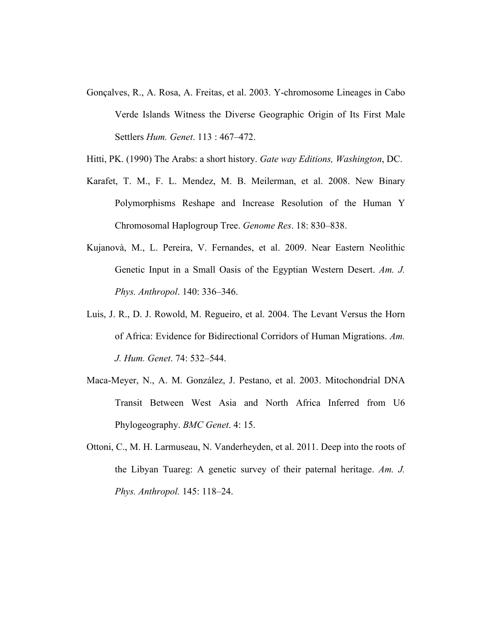- Gonçalves, R., A. Rosa, A. Freitas, et al. 2003. Y-chromosome Lineages in Cabo Verde Islands Witness the Diverse Geographic Origin of Its First Male Settlers *Hum. Genet*. 113 : 467–472.
- Hitti, PK. (1990) The Arabs: a short history. *Gate way Editions, Washington*, DC.
- Karafet, T. M., F. L. Mendez, M. B. Meilerman, et al. 2008. New Binary Polymorphisms Reshape and Increase Resolution of the Human Y Chromosomal Haplogroup Tree. *Genome Res*. 18: 830–838.
- Kujanovà, M., L. Pereira, V. Fernandes, et al. 2009. Near Eastern Neolithic Genetic Input in a Small Oasis of the Egyptian Western Desert. *Am. J. Phys. Anthropol*. 140: 336–346.
- Luis, J. R., D. J. Rowold, M. Regueiro, et al. 2004. The Levant Versus the Horn of Africa: Evidence for Bidirectional Corridors of Human Migrations. *Am. J. Hum. Genet*. 74: 532–544.
- Maca-Meyer, N., A. M. González, J. Pestano, et al. 2003. Mitochondrial DNA Transit Between West Asia and North Africa Inferred from U6 Phylogeography. *BMC Genet*. 4: 15.
- Ottoni, C., M. H. Larmuseau, N. Vanderheyden, et al. 2011. Deep into the roots of the Libyan Tuareg: A genetic survey of their paternal heritage. *Am. J. Phys. Anthropol.* 145: 118–24.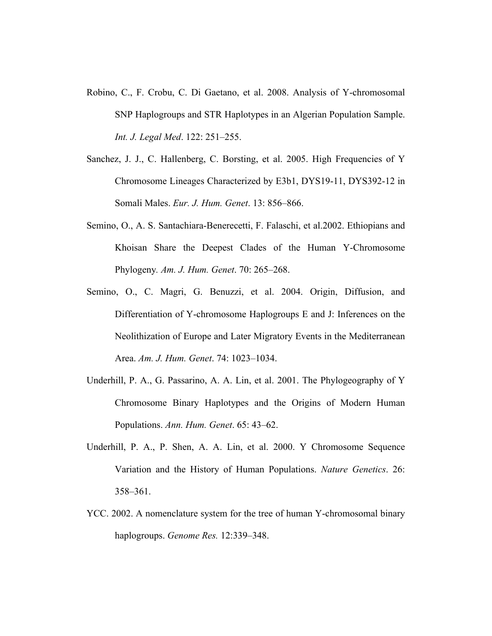- Robino, C., F. Crobu, C. Di Gaetano, et al. 2008. Analysis of Y-chromosomal SNP Haplogroups and STR Haplotypes in an Algerian Population Sample. *Int. J. Legal Med*. 122: 251–255.
- Sanchez, J. J., C. Hallenberg, C. Borsting, et al. 2005. High Frequencies of Y Chromosome Lineages Characterized by E3b1, DYS19-11, DYS392-12 in Somali Males. *Eur. J. Hum. Genet*. 13: 856–866.
- Semino, O., A. S. Santachiara-Benerecetti, F. Falaschi, et al.2002. Ethiopians and Khoisan Share the Deepest Clades of the Human Y-Chromosome Phylogeny*. Am. J. Hum. Genet*. 70: 265–268.
- Semino, O., C. Magri, G. Benuzzi, et al. 2004. Origin, Diffusion, and Differentiation of Y-chromosome Haplogroups E and J: Inferences on the Neolithization of Europe and Later Migratory Events in the Mediterranean Area. *Am. J. Hum. Genet*. 74: 1023–1034.
- Underhill, P. A., G. Passarino, A. A. Lin, et al. 2001. The Phylogeography of Y Chromosome Binary Haplotypes and the Origins of Modern Human Populations. *Ann. Hum. Genet*. 65: 43–62.
- Underhill, P. A., P. Shen, A. A. Lin, et al. 2000. Y Chromosome Sequence Variation and the History of Human Populations. *Nature Genetics*. 26: 358–361.
- YCC. 2002. A nomenclature system for the tree of human Y-chromosomal binary haplogroups. *Genome Res.* 12:339–348.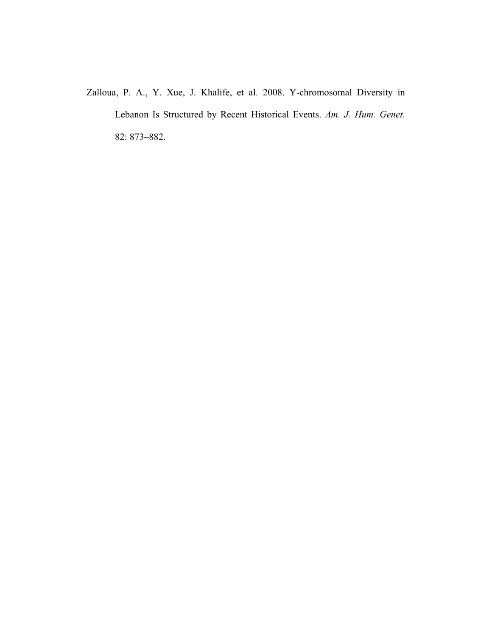Zalloua, P. A., Y. Xue, J. Khalife, et al. 2008. Y-chromosomal Diversity in Lebanon Is Structured by Recent Historical Events. *Am. J. Hum. Genet*. 82: 873–882.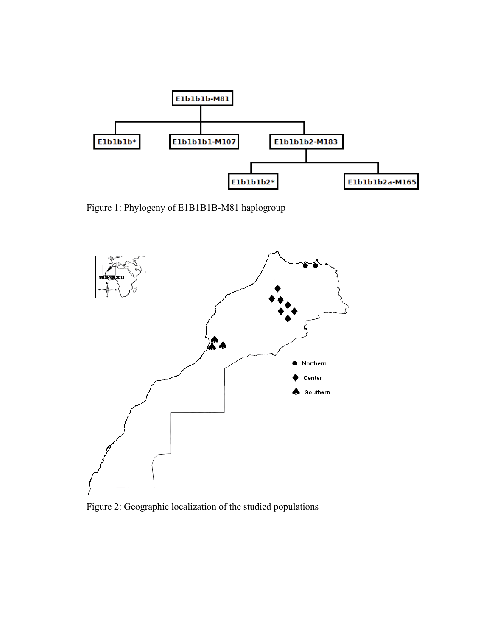

Figure 1: Phylogeny of E1B1B1B-M81 haplogroup



Figure 2: Geographic localization of the studied populations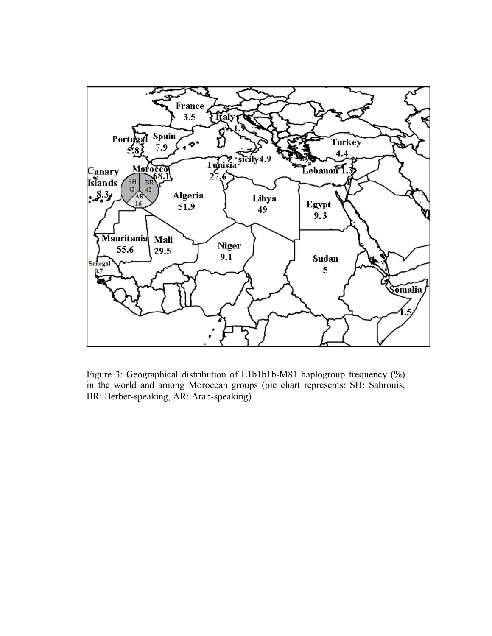

Figure 3: Geographical distribution of E1b1b1b-M81 haplogroup frequency (%) in the world and among Moroccan groups (pie chart represents: SH: Sahrouis, BR: Berber-speaking, AR: Arab-speaking)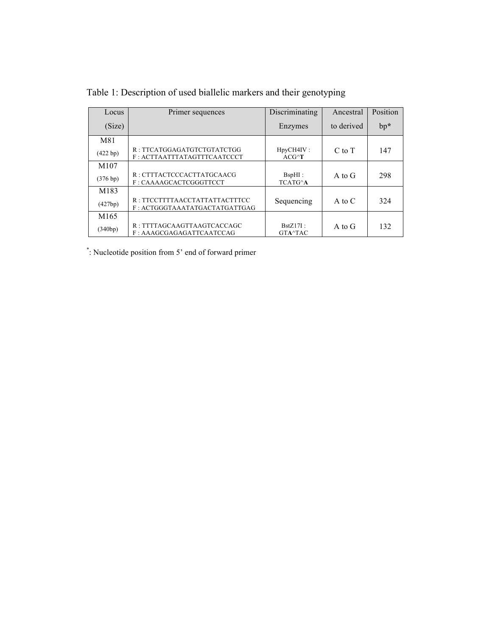| Locus     | Primer sequences                                                | Discriminating                  | Ancestral  | Position |
|-----------|-----------------------------------------------------------------|---------------------------------|------------|----------|
| (Size)    |                                                                 | Enzymes                         | to derived | $bp^*$   |
| M81       |                                                                 |                                 |            |          |
| (422 bp)  | R: TTCATGGAGATGTCTGTATCTGG<br>F: ACTTAATTTATAGTTTCAATCCCT       | HpyCH4IV:<br>$ACG^{\wedge}T$    | $C$ to $T$ | 147      |
| M107      |                                                                 |                                 |            |          |
| (376 b p) | R: CTTTACTCCCACTTATGCAACG<br>F: CAAAAGCACTCGGGTTCCT             | $BspHI$ :<br>TCATG <sup>A</sup> | A to G     | 298      |
| M183      |                                                                 |                                 |            |          |
| (427bp)   | R : TTCCTTTTAACCTATTATTACTTTCC<br>F: ACTGGGTAAATATGACTATGATTGAG | Sequencing                      | A to $C$   | 324      |
| M165      |                                                                 |                                 |            |          |
| (340bp)   | R: TTTTAGCAAGTTAAGTCACCAGC<br>F: AAAGCGAGAGATTCAATCCAG          | $BstZ17I$ :<br>GTA^TAC          | A to G     | 132      |

Table 1: Description of used biallelic markers and their genotyping

\* : Nucleotide position from 5' end of forward primer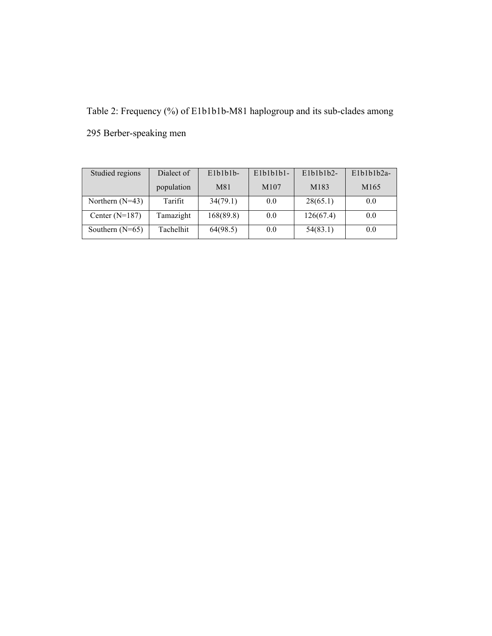Table 2: Frequency (%) of E1b1b1b-M81 haplogroup and its sub-clades among

| Studied regions   | Dialect of | $E1b1b1b-$ | $E1b1b1b1-$      | $E1b1b1b2-$ | $E1b1b1b2a-$     |
|-------------------|------------|------------|------------------|-------------|------------------|
|                   | population | M81        | M <sub>107</sub> | M183        | M <sub>165</sub> |
| Northern $(N=43)$ | Tarifit    | 34(79.1)   | 0.0              | 28(65.1)    | 0.0              |
| Center $(N=187)$  | Tamazight  | 168(89.8)  | 0.0              | 126(67.4)   | 0.0              |
| Southern $(N=65)$ | Tachelhit  | 64(98.5)   | 0.0              | 54(83.1)    | 0.0              |

295 Berber-speaking men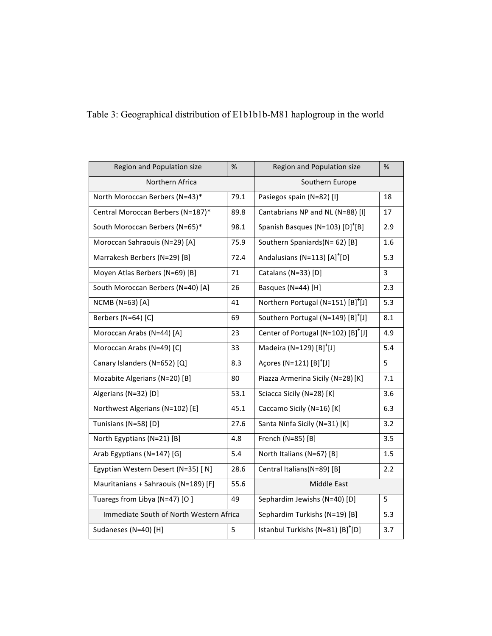| Region and Population size              | %    | Region and Population size                      | %   |  |
|-----------------------------------------|------|-------------------------------------------------|-----|--|
| Northern Africa                         |      | Southern Europe                                 |     |  |
| North Moroccan Berbers (N=43)*          | 79.1 | Pasiegos spain (N=82) [I]                       | 18  |  |
| Central Moroccan Berbers (N=187)*       | 89.8 | Cantabrians NP and NL (N=88) [I]                | 17  |  |
| South Moroccan Berbers (N=65)*          | 98.1 | Spanish Basques (N=103) [D] <sup>+</sup> [B]    | 2.9 |  |
| Moroccan Sahraouis (N=29) [A]           | 75.9 | Southern Spaniards(N=62) [B]                    | 1.6 |  |
| Marrakesh Berbers (N=29) [B]            | 72.4 | Andalusians (N=113) [A] <sup>+</sup> [D]        | 5.3 |  |
| Moyen Atlas Berbers (N=69) [B]          | 71   | Catalans (N=33) [D]                             | 3   |  |
| South Moroccan Berbers (N=40) [A]       | 26   | Basques (N=44) [H]                              | 2.3 |  |
| NCMB (N=63) [A]                         | 41   | Northern Portugal (N=151) [B] <sup>+</sup> [J]  | 5.3 |  |
| Berbers (N=64) [C]                      | 69   | Southern Portugal (N=149) [B] <sup>+</sup> [J]  | 8.1 |  |
| Moroccan Arabs (N=44) [A]               | 23   | Center of Portugal (N=102) [B] <sup>+</sup> [J] | 4.9 |  |
| Moroccan Arabs (N=49) [C]               | 33   | Madeira (N=129) $[B]^{+}[J]$                    | 5.4 |  |
| Canary Islanders (N=652) [Q]            | 8.3  | Açores (N=121) [B] <sup>+</sup> [J]             | 5   |  |
| Mozabite Algerians (N=20) [B]           | 80   | Piazza Armerina Sicily (N=28) [K]               | 7.1 |  |
| Algerians (N=32) [D]                    | 53.1 | Sciacca Sicily (N=28) [K]                       | 3.6 |  |
| Northwest Algerians (N=102) [E]         | 45.1 | Caccamo Sicily (N=16) [K]                       | 6.3 |  |
| Tunisians (N=58) [D]                    | 27.6 | Santa Ninfa Sicily (N=31) [K]                   | 3.2 |  |
| North Egyptians (N=21) [B]              | 4.8  | French (N=85) [B]                               | 3.5 |  |
| Arab Egyptians (N=147) [G]              | 5.4  | North Italians (N=67) [B]                       | 1.5 |  |
| Egyptian Western Desert (N=35) [ N]     | 28.6 | Central Italians(N=89) [B]                      | 2.2 |  |
| Mauritanians + Sahraouis (N=189) [F]    | 55.6 | Middle East                                     |     |  |
| Tuaregs from Libya (N=47) [O]           | 49   | Sephardim Jewishs (N=40) [D]                    | 5   |  |
| Immediate South of North Western Africa |      | Sephardim Turkishs (N=19) [B]                   | 5.3 |  |
| Sudaneses (N=40) [H]                    | 5    | Istanbul Turkishs (N=81) [B] <sup>+</sup> [D]   | 3.7 |  |
|                                         |      |                                                 |     |  |

## Table 3: Geographical distribution of E1b1b1b-M81 haplogroup in the world